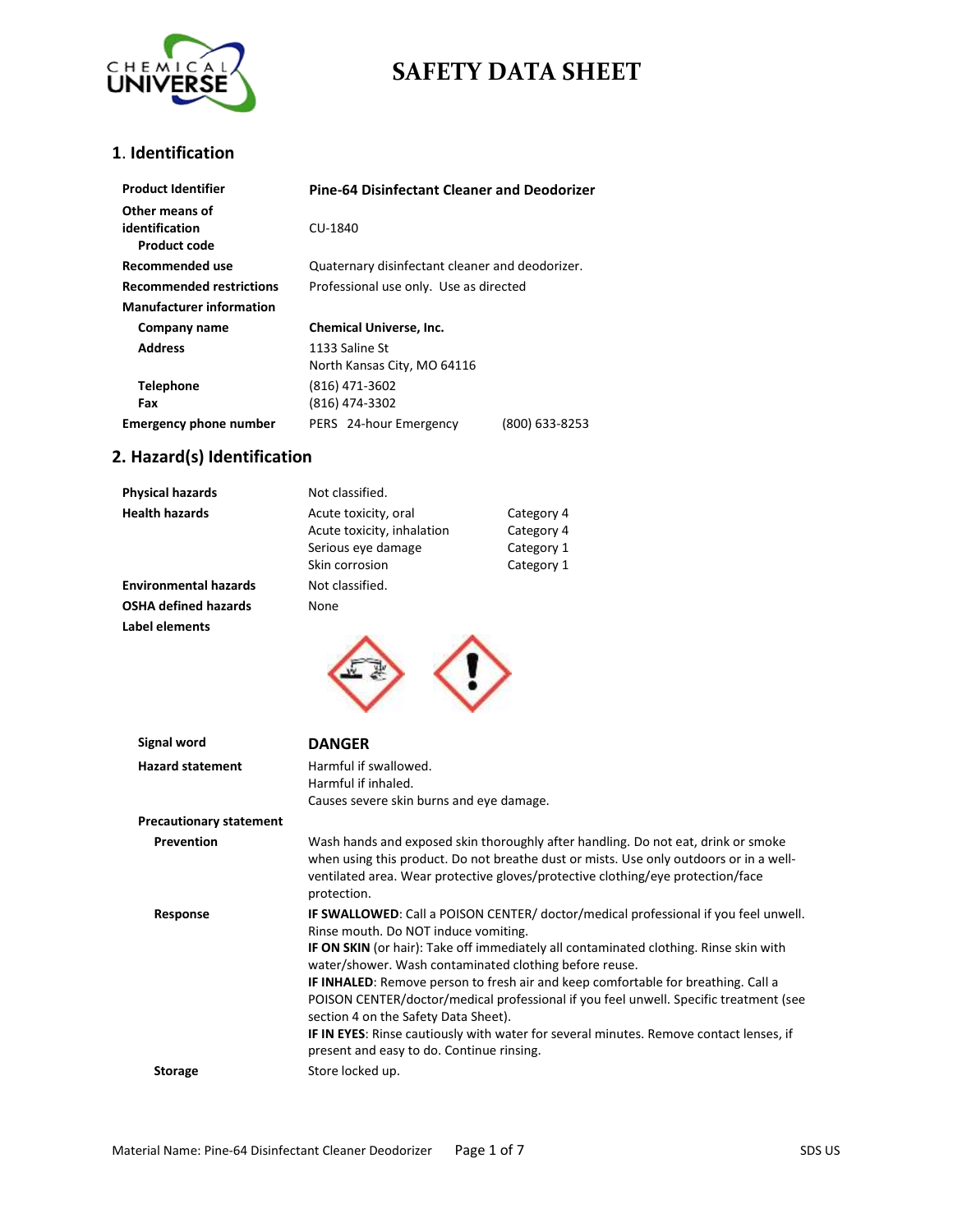

### **1**. **Identification**

| <b>Product Identifier</b>                        | <b>Pine-64 Disinfectant Cleaner and Deodorizer</b> |                |
|--------------------------------------------------|----------------------------------------------------|----------------|
| Other means of<br>identification<br>Product code | CU-1840                                            |                |
| Recommended use                                  | Quaternary disinfectant cleaner and deodorizer.    |                |
| <b>Recommended restrictions</b>                  | Professional use only. Use as directed             |                |
| <b>Manufacturer information</b>                  |                                                    |                |
| Company name                                     | <b>Chemical Universe, Inc.</b>                     |                |
| <b>Address</b>                                   | 1133 Saline St<br>North Kansas City, MO 64116      |                |
| <b>Telephone</b>                                 | (816) 471-3602                                     |                |
| Fax                                              | (816) 474-3302                                     |                |
| <b>Emergency phone number</b>                    | PERS 24-hour Emergency                             | (800) 633-8253 |

## **2. Hazard(s) Identification**

| <b>Physical hazards</b>      | Not classified.                                                                            |                                                      |
|------------------------------|--------------------------------------------------------------------------------------------|------------------------------------------------------|
| <b>Health hazards</b>        | Acute toxicity, oral<br>Acute toxicity, inhalation<br>Serious eye damage<br>Skin corrosion | Category 4<br>Category 4<br>Category 1<br>Category 1 |
| <b>Environmental hazards</b> | Not classified.                                                                            |                                                      |
| <b>OSHA defined hazards</b>  | None                                                                                       |                                                      |
| Label elements               |                                                                                            |                                                      |
| Signal word                  | <b>DANGER</b>                                                                              |                                                      |

| JINIUI WVIU                    | DANJLN                                                                                                                                                                                                                                                                                                                                                                                                                                                                                                                                                                                                                                                    |
|--------------------------------|-----------------------------------------------------------------------------------------------------------------------------------------------------------------------------------------------------------------------------------------------------------------------------------------------------------------------------------------------------------------------------------------------------------------------------------------------------------------------------------------------------------------------------------------------------------------------------------------------------------------------------------------------------------|
| <b>Hazard statement</b>        | Harmful if swallowed.<br>Harmful if inhaled.<br>Causes severe skin burns and eye damage.                                                                                                                                                                                                                                                                                                                                                                                                                                                                                                                                                                  |
| <b>Precautionary statement</b> |                                                                                                                                                                                                                                                                                                                                                                                                                                                                                                                                                                                                                                                           |
| Prevention                     | Wash hands and exposed skin thoroughly after handling. Do not eat, drink or smoke<br>when using this product. Do not breathe dust or mists. Use only outdoors or in a well-<br>ventilated area. Wear protective gloves/protective clothing/eye protection/face<br>protection.                                                                                                                                                                                                                                                                                                                                                                             |
| Response                       | <b>IF SWALLOWED:</b> Call a POISON CENTER/ doctor/medical professional if you feel unwell.<br>Rinse mouth. Do NOT induce vomiting.<br><b>IF ON SKIN</b> (or hair): Take off immediately all contaminated clothing. Rinse skin with<br>water/shower. Wash contaminated clothing before reuse.<br>IF INHALED: Remove person to fresh air and keep comfortable for breathing. Call a<br>POISON CENTER/doctor/medical professional if you feel unwell. Specific treatment (see<br>section 4 on the Safety Data Sheet).<br>IF IN EYES: Rinse cautiously with water for several minutes. Remove contact lenses, if<br>present and easy to do. Continue rinsing. |
| <b>Storage</b>                 | Store locked up.                                                                                                                                                                                                                                                                                                                                                                                                                                                                                                                                                                                                                                          |
|                                |                                                                                                                                                                                                                                                                                                                                                                                                                                                                                                                                                                                                                                                           |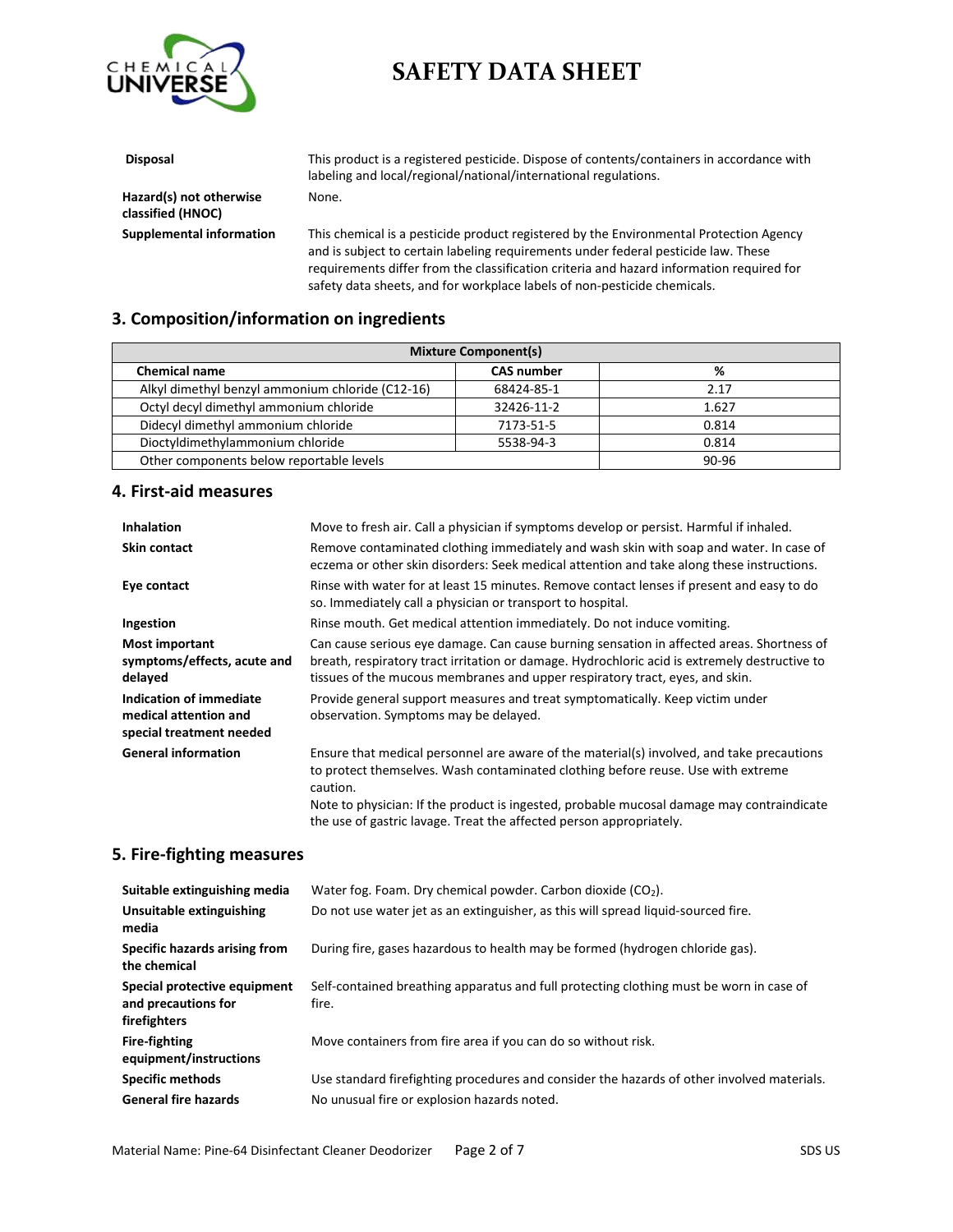

| <b>Disposal</b>                              | This product is a registered pesticide. Dispose of contents/containers in accordance with<br>labeling and local/regional/national/international regulations.                 |
|----------------------------------------------|------------------------------------------------------------------------------------------------------------------------------------------------------------------------------|
| Hazard(s) not otherwise<br>classified (HNOC) | None.                                                                                                                                                                        |
| Supplemental information                     | This chemical is a pesticide product registered by the Environmental Protection Agency<br>and is subject to certain labeling requirements under federal pesticide law. These |

requirements differ from the classification criteria and hazard information required for safety data sheets, and for workplace labels of non-pesticide chemicals.

#### **3. Composition/information on ingredients**

| <b>Mixture Component(s)</b>                      |                   |           |  |
|--------------------------------------------------|-------------------|-----------|--|
| <b>Chemical name</b>                             | <b>CAS number</b> | %         |  |
| Alkyl dimethyl benzyl ammonium chloride (C12-16) | 68424-85-1        | 2.17      |  |
| Octyl decyl dimethyl ammonium chloride           | 32426-11-2        | 1.627     |  |
| Didecyl dimethyl ammonium chloride               | 7173-51-5         | 0.814     |  |
| Dioctyldimethylammonium chloride                 | 5538-94-3         | 0.814     |  |
| Other components below reportable levels         |                   | $90 - 96$ |  |

#### **4. First-aid measures**

| <b>Inhalation</b>                                                            | Move to fresh air. Call a physician if symptoms develop or persist. Harmful if inhaled.                                                                                                                                                                                                |
|------------------------------------------------------------------------------|----------------------------------------------------------------------------------------------------------------------------------------------------------------------------------------------------------------------------------------------------------------------------------------|
| <b>Skin contact</b>                                                          | Remove contaminated clothing immediately and wash skin with soap and water. In case of<br>eczema or other skin disorders: Seek medical attention and take along these instructions.                                                                                                    |
| Eye contact                                                                  | Rinse with water for at least 15 minutes. Remove contact lenses if present and easy to do<br>so. Immediately call a physician or transport to hospital.                                                                                                                                |
| Ingestion                                                                    | Rinse mouth. Get medical attention immediately. Do not induce vomiting.                                                                                                                                                                                                                |
| <b>Most important</b><br>symptoms/effects, acute and<br>delayed              | Can cause serious eye damage. Can cause burning sensation in affected areas. Shortness of<br>breath, respiratory tract irritation or damage. Hydrochloric acid is extremely destructive to<br>tissues of the mucous membranes and upper respiratory tract, eyes, and skin.             |
| Indication of immediate<br>medical attention and<br>special treatment needed | Provide general support measures and treat symptomatically. Keep victim under<br>observation. Symptoms may be delayed.                                                                                                                                                                 |
| <b>General information</b>                                                   | Ensure that medical personnel are aware of the material(s) involved, and take precautions<br>to protect themselves. Wash contaminated clothing before reuse. Use with extreme<br>caution.<br>Note to physician: If the product is ingested, probable mucosal damage may contraindicate |
|                                                                              | the use of gastric lavage. Treat the affected person appropriately.                                                                                                                                                                                                                    |

#### **5. Fire-fighting measures**

| Suitable extinguishing media                                        | Water fog. Foam. Dry chemical powder. Carbon dioxide $(CO2)$ .                                   |
|---------------------------------------------------------------------|--------------------------------------------------------------------------------------------------|
| Unsuitable extinguishing<br>media                                   | Do not use water jet as an extinguisher, as this will spread liquid-sourced fire.                |
| Specific hazards arising from<br>the chemical                       | During fire, gases hazardous to health may be formed (hydrogen chloride gas).                    |
| Special protective equipment<br>and precautions for<br>firefighters | Self-contained breathing apparatus and full protecting clothing must be worn in case of<br>fire. |
| <b>Fire-fighting</b><br>equipment/instructions                      | Move containers from fire area if you can do so without risk.                                    |
| <b>Specific methods</b>                                             | Use standard firefighting procedures and consider the hazards of other involved materials.       |
| <b>General fire hazards</b>                                         | No unusual fire or explosion hazards noted.                                                      |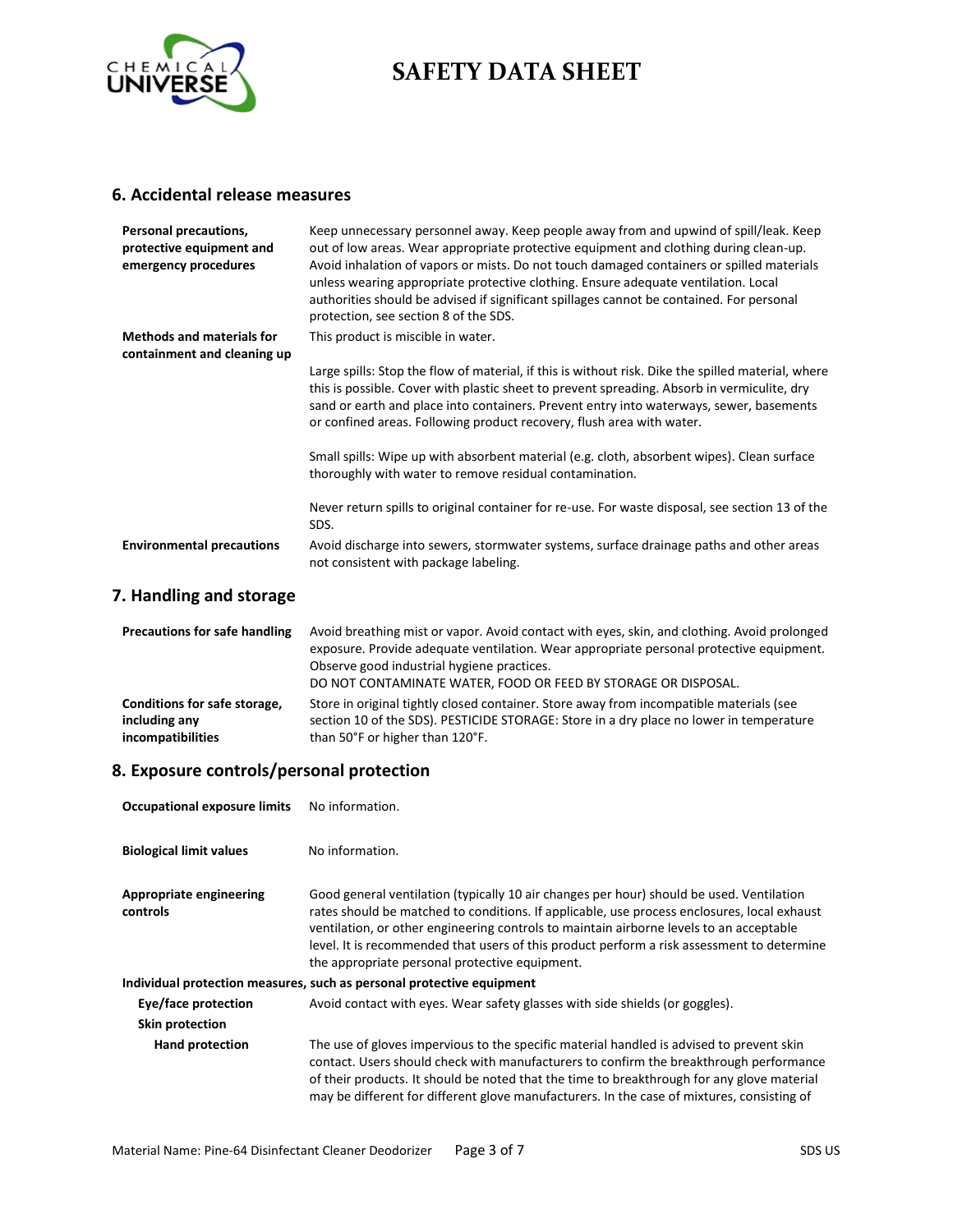

#### **6. Accidental release measures**

| Personal precautions,<br>protective equipment and<br>emergency procedures | Keep unnecessary personnel away. Keep people away from and upwind of spill/leak. Keep<br>out of low areas. Wear appropriate protective equipment and clothing during clean-up.<br>Avoid inhalation of vapors or mists. Do not touch damaged containers or spilled materials<br>unless wearing appropriate protective clothing. Ensure adequate ventilation. Local<br>authorities should be advised if significant spillages cannot be contained. For personal<br>protection, see section 8 of the SDS. |
|---------------------------------------------------------------------------|--------------------------------------------------------------------------------------------------------------------------------------------------------------------------------------------------------------------------------------------------------------------------------------------------------------------------------------------------------------------------------------------------------------------------------------------------------------------------------------------------------|
| <b>Methods and materials for</b><br>containment and cleaning up           | This product is miscible in water.                                                                                                                                                                                                                                                                                                                                                                                                                                                                     |
|                                                                           | Large spills: Stop the flow of material, if this is without risk. Dike the spilled material, where<br>this is possible. Cover with plastic sheet to prevent spreading. Absorb in vermiculite, dry<br>sand or earth and place into containers. Prevent entry into waterways, sewer, basements<br>or confined areas. Following product recovery, flush area with water.                                                                                                                                  |
|                                                                           | Small spills: Wipe up with absorbent material (e.g. cloth, absorbent wipes). Clean surface<br>thoroughly with water to remove residual contamination.                                                                                                                                                                                                                                                                                                                                                  |
|                                                                           | Never return spills to original container for re-use. For waste disposal, see section 13 of the<br>SDS.                                                                                                                                                                                                                                                                                                                                                                                                |
| <b>Environmental precautions</b>                                          | Avoid discharge into sewers, stormwater systems, surface drainage paths and other areas<br>not consistent with package labeling.                                                                                                                                                                                                                                                                                                                                                                       |

### **7. Handling and storage**

| <b>Precautions for safe handling</b> | Avoid breathing mist or vapor. Avoid contact with eyes, skin, and clothing. Avoid prolonged<br>exposure. Provide adequate ventilation. Wear appropriate personal protective equipment.<br>Observe good industrial hygiene practices.<br>DO NOT CONTAMINATE WATER, FOOD OR FEED BY STORAGE OR DISPOSAL. |  |
|--------------------------------------|--------------------------------------------------------------------------------------------------------------------------------------------------------------------------------------------------------------------------------------------------------------------------------------------------------|--|
| Conditions for safe storage,         | Store in original tightly closed container. Store away from incompatible materials (see                                                                                                                                                                                                                |  |
| including any                        | section 10 of the SDS). PESTICIDE STORAGE: Store in a dry place no lower in temperature                                                                                                                                                                                                                |  |
| incompatibilities                    | than 50°F or higher than 120°F.                                                                                                                                                                                                                                                                        |  |

### **8. Exposure controls/personal protection**

| <b>Occupational exposure limits</b>                                   | No information.                                                                                                                                                                                                                                                                                                                                                                                                                    |  |
|-----------------------------------------------------------------------|------------------------------------------------------------------------------------------------------------------------------------------------------------------------------------------------------------------------------------------------------------------------------------------------------------------------------------------------------------------------------------------------------------------------------------|--|
| <b>Biological limit values</b>                                        | No information.                                                                                                                                                                                                                                                                                                                                                                                                                    |  |
| <b>Appropriate engineering</b><br>controls                            | Good general ventilation (typically 10 air changes per hour) should be used. Ventilation<br>rates should be matched to conditions. If applicable, use process enclosures, local exhaust<br>ventilation, or other engineering controls to maintain airborne levels to an acceptable<br>level. It is recommended that users of this product perform a risk assessment to determine<br>the appropriate personal protective equipment. |  |
| Individual protection measures, such as personal protective equipment |                                                                                                                                                                                                                                                                                                                                                                                                                                    |  |
| Eye/face protection                                                   | Avoid contact with eyes. Wear safety glasses with side shields (or goggles).                                                                                                                                                                                                                                                                                                                                                       |  |
| Skin protection                                                       |                                                                                                                                                                                                                                                                                                                                                                                                                                    |  |
| Hand protection                                                       | The use of gloves impervious to the specific material handled is advised to prevent skin<br>contact. Users should check with manufacturers to confirm the breakthrough performance<br>of their products. It should be noted that the time to breakthrough for any glove material<br>may be different for different glove manufacturers. In the case of mixtures, consisting of                                                     |  |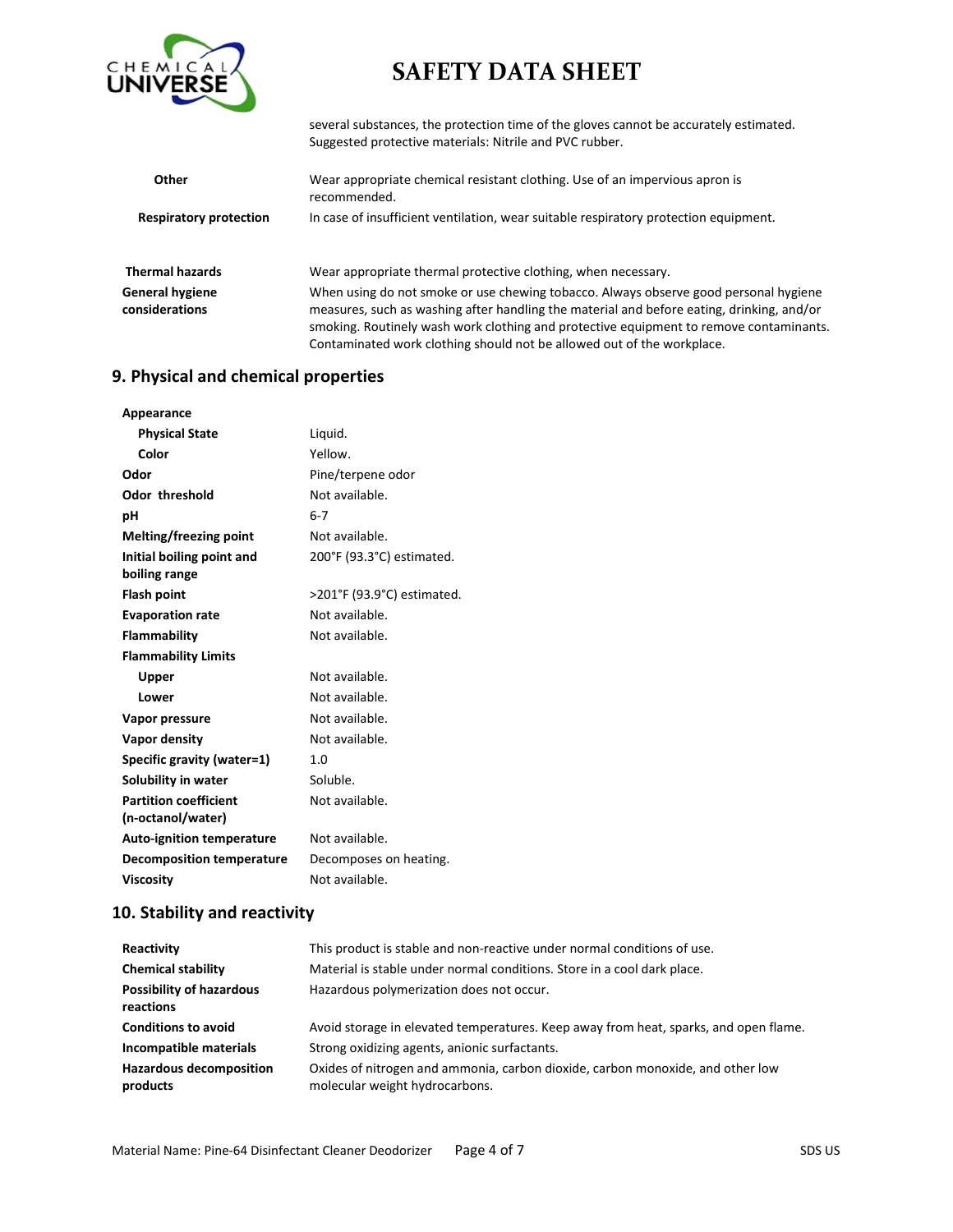

several substances, the protection time of the gloves cannot be accurately estimated. Suggested protective materials: Nitrile and PVC rubber.

| <b>Other</b>                             | Wear appropriate chemical resistant clothing. Use of an impervious apron is<br>recommended.                                                                                                                                                                                 |  |
|------------------------------------------|-----------------------------------------------------------------------------------------------------------------------------------------------------------------------------------------------------------------------------------------------------------------------------|--|
| <b>Respiratory protection</b>            | In case of insufficient ventilation, wear suitable respiratory protection equipment.                                                                                                                                                                                        |  |
| <b>Thermal hazards</b>                   | Wear appropriate thermal protective clothing, when necessary.                                                                                                                                                                                                               |  |
| <b>General hygiene</b><br>considerations | When using do not smoke or use chewing tobacco. Always observe good personal hygiene<br>measures, such as washing after handling the material and before eating, drinking, and/or<br>smoking. Routinely wash work clothing and protective equipment to remove contaminants. |  |

### Contaminated work clothing should not be allowed out of the workplace.

### **9. Physical and chemical properties**

| Appearance                       |                            |
|----------------------------------|----------------------------|
| <b>Physical State</b>            | Liquid.                    |
| Color                            | Yellow.                    |
| Odor                             | Pine/terpene odor          |
| Odor threshold                   | Not available.             |
| рH                               | $6 - 7$                    |
| Melting/freezing point           | Not available.             |
| Initial boiling point and        | 200°F (93.3°C) estimated.  |
| boiling range                    |                            |
| <b>Flash point</b>               | >201°F (93.9°C) estimated. |
| <b>Evaporation rate</b>          | Not available.             |
| Flammability                     | Not available.             |
| <b>Flammability Limits</b>       |                            |
| Upper                            | Not available.             |
| Lower                            | Not available.             |
| Vapor pressure                   | Not available.             |
| Vapor density                    | Not available.             |
| Specific gravity (water=1)       | 1.0                        |
| Solubility in water              | Soluble.                   |
| <b>Partition coefficient</b>     | Not available.             |
| (n-octanol/water)                |                            |
| <b>Auto-ignition temperature</b> | Not available.             |
| <b>Decomposition temperature</b> | Decomposes on heating.     |
| <b>Viscosity</b>                 | Not available.             |

### **10. Stability and reactivity**

| Reactivity                                   | This product is stable and non-reactive under normal conditions of use.                                          |
|----------------------------------------------|------------------------------------------------------------------------------------------------------------------|
| <b>Chemical stability</b>                    | Material is stable under normal conditions. Store in a cool dark place.                                          |
| <b>Possibility of hazardous</b><br>reactions | Hazardous polymerization does not occur.                                                                         |
| <b>Conditions to avoid</b>                   | Avoid storage in elevated temperatures. Keep away from heat, sparks, and open flame.                             |
| Incompatible materials                       | Strong oxidizing agents, anionic surfactants.                                                                    |
| <b>Hazardous decomposition</b><br>products   | Oxides of nitrogen and ammonia, carbon dioxide, carbon monoxide, and other low<br>molecular weight hydrocarbons. |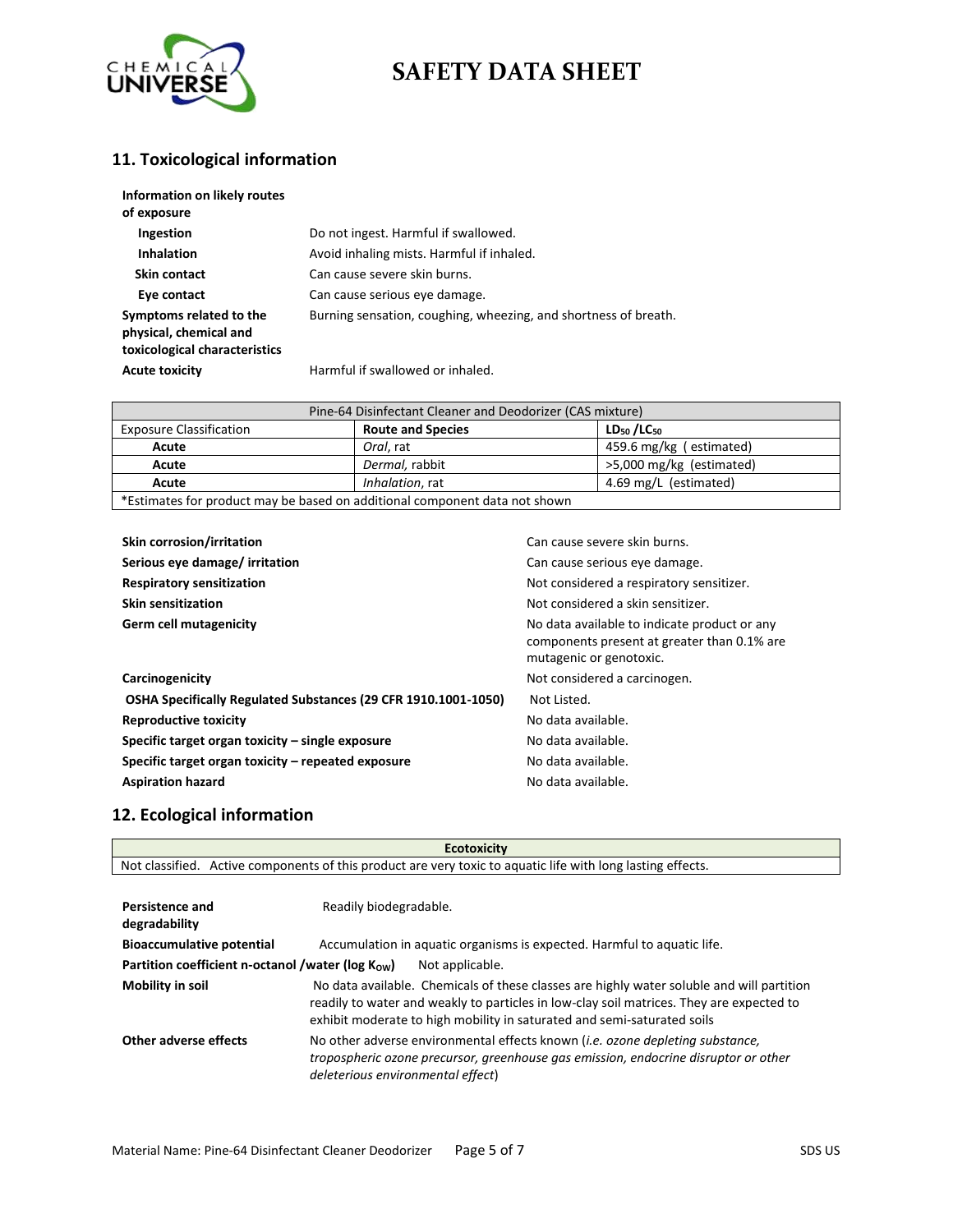

## **11. Toxicological information**

| Information on likely routes<br>of exposure                                        |                                                                 |
|------------------------------------------------------------------------------------|-----------------------------------------------------------------|
| Ingestion                                                                          | Do not ingest. Harmful if swallowed.                            |
| <b>Inhalation</b>                                                                  | Avoid inhaling mists. Harmful if inhaled.                       |
| Skin contact                                                                       | Can cause severe skin burns.                                    |
| Eye contact                                                                        | Can cause serious eye damage.                                   |
| Symptoms related to the<br>physical, chemical and<br>toxicological characteristics | Burning sensation, coughing, wheezing, and shortness of breath. |
| <b>Acute toxicity</b>                                                              | Harmful if swallowed or inhaled.                                |

| Pine-64 Disinfectant Cleaner and Deodorizer (CAS mixture)                  |                          |                          |  |
|----------------------------------------------------------------------------|--------------------------|--------------------------|--|
| <b>Exposure Classification</b>                                             | <b>Route and Species</b> | $LD_{50}/LC_{50}$        |  |
| Acute                                                                      | Oral. rat                | 459.6 mg/kg (estimated)  |  |
| Acute                                                                      | Dermal, rabbit           | >5,000 mg/kg (estimated) |  |
| Acute                                                                      | Inhalation, rat          | 4.69 mg/L (estimated)    |  |
| *Estimates for product may be based on additional component data not shown |                          |                          |  |

| <b>Skin corrosion/irritation</b>                               | Can cause severe skin burns.                                                                                           |
|----------------------------------------------------------------|------------------------------------------------------------------------------------------------------------------------|
| Serious eye damage/ irritation                                 | Can cause serious eye damage.                                                                                          |
| <b>Respiratory sensitization</b>                               | Not considered a respiratory sensitizer.                                                                               |
| <b>Skin sensitization</b>                                      | Not considered a skin sensitizer.                                                                                      |
| Germ cell mutagenicity                                         | No data available to indicate product or any<br>components present at greater than 0.1% are<br>mutagenic or genotoxic. |
| Carcinogenicity                                                | Not considered a carcinogen.                                                                                           |
| OSHA Specifically Regulated Substances (29 CFR 1910.1001-1050) | Not Listed.                                                                                                            |
| <b>Reproductive toxicity</b>                                   | No data available.                                                                                                     |
| Specific target organ toxicity – single exposure               | No data available.                                                                                                     |
| Specific target organ toxicity – repeated exposure             | No data available.                                                                                                     |
| <b>Aspiration hazard</b>                                       | No data available.                                                                                                     |

### **12. Ecological information**

| <b>Ecotoxicity</b>                                                         |                                                                                                                                                                                                                                                                  |  |
|----------------------------------------------------------------------------|------------------------------------------------------------------------------------------------------------------------------------------------------------------------------------------------------------------------------------------------------------------|--|
|                                                                            | Not classified. Active components of this product are very toxic to aquatic life with long lasting effects.                                                                                                                                                      |  |
| <b>Persistence and</b><br>Readily biodegradable.<br>degradability          |                                                                                                                                                                                                                                                                  |  |
| <b>Bioaccumulative potential</b>                                           | Accumulation in aquatic organisms is expected. Harmful to aquatic life.                                                                                                                                                                                          |  |
| Partition coefficient n-octanol /water ( $log K_{OW}$ )<br>Not applicable. |                                                                                                                                                                                                                                                                  |  |
| Mobility in soil                                                           | No data available. Chemicals of these classes are highly water soluble and will partition<br>readily to water and weakly to particles in low-clay soil matrices. They are expected to<br>exhibit moderate to high mobility in saturated and semi-saturated soils |  |
| Other adverse effects                                                      | No other adverse environmental effects known <i>(i.e. ozone depleting substance,</i><br>tropospheric ozone precursor, greenhouse gas emission, endocrine disruptor or other<br>deleterious environmental effect)                                                 |  |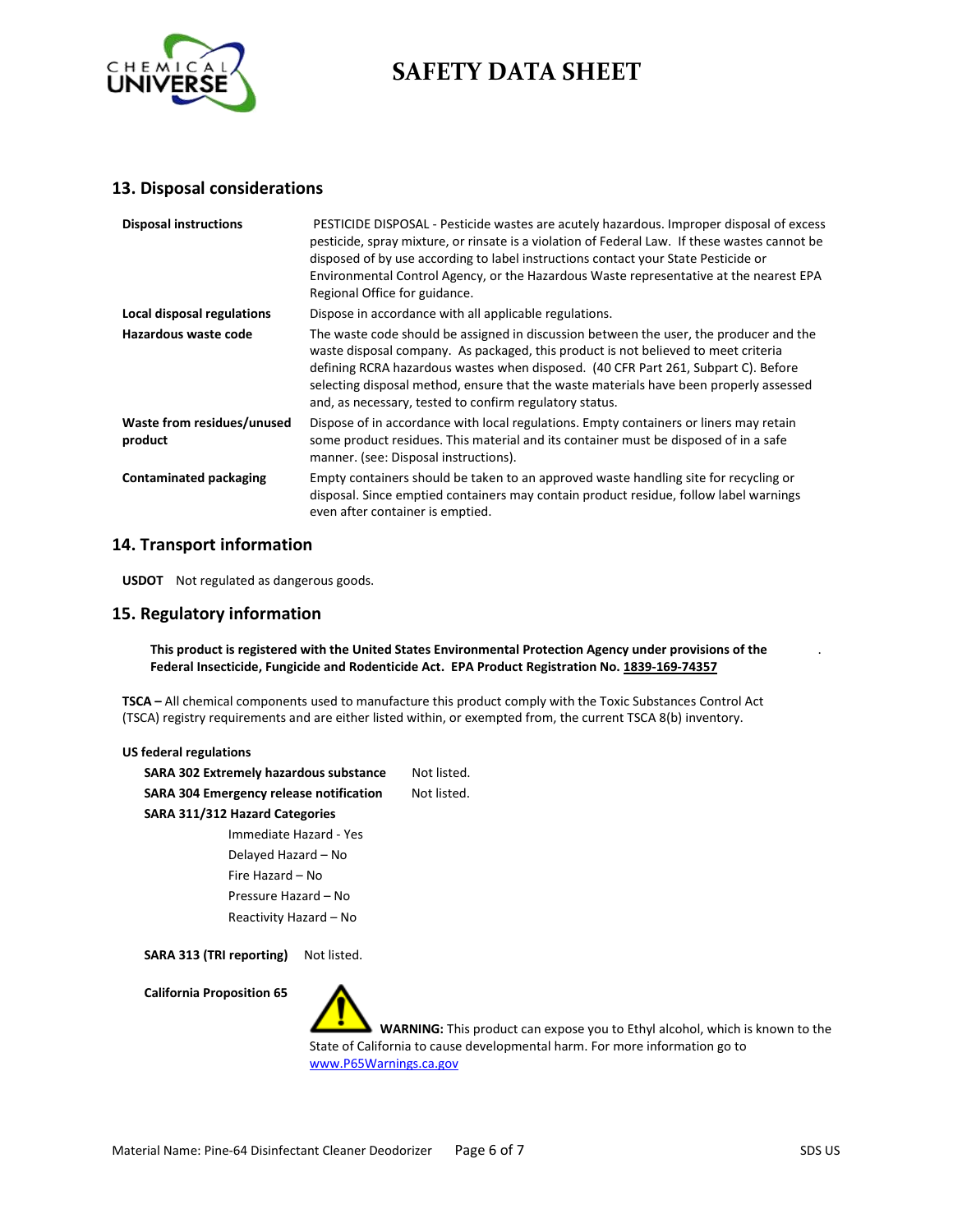

#### **13. Disposal considerations**

| <b>Disposal instructions</b>          | PESTICIDE DISPOSAL - Pesticide wastes are acutely hazardous. Improper disposal of excess<br>pesticide, spray mixture, or rinsate is a violation of Federal Law. If these wastes cannot be<br>disposed of by use according to label instructions contact your State Pesticide or<br>Environmental Control Agency, or the Hazardous Waste representative at the nearest EPA<br>Regional Office for guidance.              |
|---------------------------------------|-------------------------------------------------------------------------------------------------------------------------------------------------------------------------------------------------------------------------------------------------------------------------------------------------------------------------------------------------------------------------------------------------------------------------|
| Local disposal regulations            | Dispose in accordance with all applicable regulations.                                                                                                                                                                                                                                                                                                                                                                  |
| Hazardous waste code                  | The waste code should be assigned in discussion between the user, the producer and the<br>waste disposal company. As packaged, this product is not believed to meet criteria<br>defining RCRA hazardous wastes when disposed. (40 CFR Part 261, Subpart C). Before<br>selecting disposal method, ensure that the waste materials have been properly assessed<br>and, as necessary, tested to confirm regulatory status. |
| Waste from residues/unused<br>product | Dispose of in accordance with local regulations. Empty containers or liners may retain<br>some product residues. This material and its container must be disposed of in a safe<br>manner. (see: Disposal instructions).                                                                                                                                                                                                 |
| <b>Contaminated packaging</b>         | Empty containers should be taken to an approved waste handling site for recycling or<br>disposal. Since emptied containers may contain product residue, follow label warnings<br>even after container is emptied.                                                                                                                                                                                                       |

#### **14. Transport information**

**USDOT** Not regulated as dangerous goods.

#### **15. Regulatory information**

**This product is registered with the United States Environmental Protection Agency under provisions of the Federal Insecticide, Fungicide and Rodenticide Act. EPA Product Registration No. 1839-169-74357**

**TSCA –** All chemical components used to manufacture this product comply with the Toxic Substances Control Act (TSCA) registry requirements and are either listed within, or exempted from, the current TSCA 8(b) inventory.

| US federal regulations                         |             |  |
|------------------------------------------------|-------------|--|
| <b>SARA 302 Extremely hazardous substance</b>  | Not listed. |  |
| <b>SARA 304 Emergency release notification</b> | Not listed. |  |
| SARA 311/312 Hazard Categories                 |             |  |
| Immediate Hazard - Yes                         |             |  |
| Delayed Hazard - No                            |             |  |
| Fire Hazard - No                               |             |  |
| Pressure Hazard - No                           |             |  |
| Reactivity Hazard - No                         |             |  |
|                                                |             |  |

SARA 313 (TRI reporting) Not listed.

**California Proposition 65**

 **WARNING:** This product can expose you to Ethyl alcohol, which is known to the State of California to cause developmental harm. For more information go to [www.P65Warnings.ca.gov](http://www.p65warnings.ca.gov/)

.